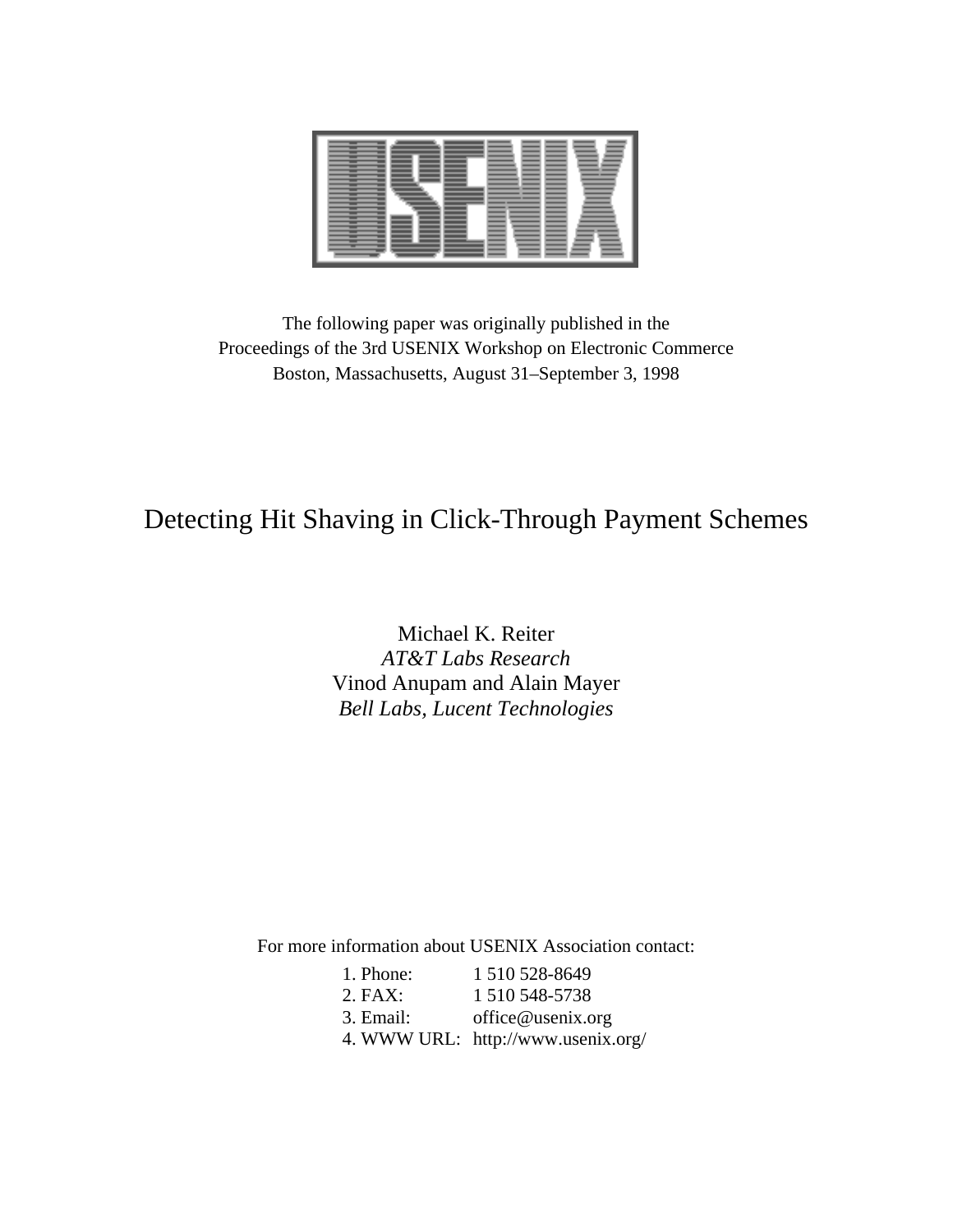

The following paper was originally published in the Proceedings of the 3rd USENIX Workshop on Electronic Commerce Boston, Massachusetts, August 31–September 3, 1998

# Detecting Hit Shaving in Click-Through Payment Schemes

Michael K. Reiter *AT&T Labs Research* Vinod Anupam and Alain Mayer *Bell Labs, Lucent Technologies*

For more information about USENIX Association contact:

| 1. Phone: | 1510528-8649                       |
|-----------|------------------------------------|
| $2.$ FAX: | 1 510 548-5738                     |
| 3. Email: | office@usenix.org                  |
|           | 4. WWW URL: http://www.usenix.org/ |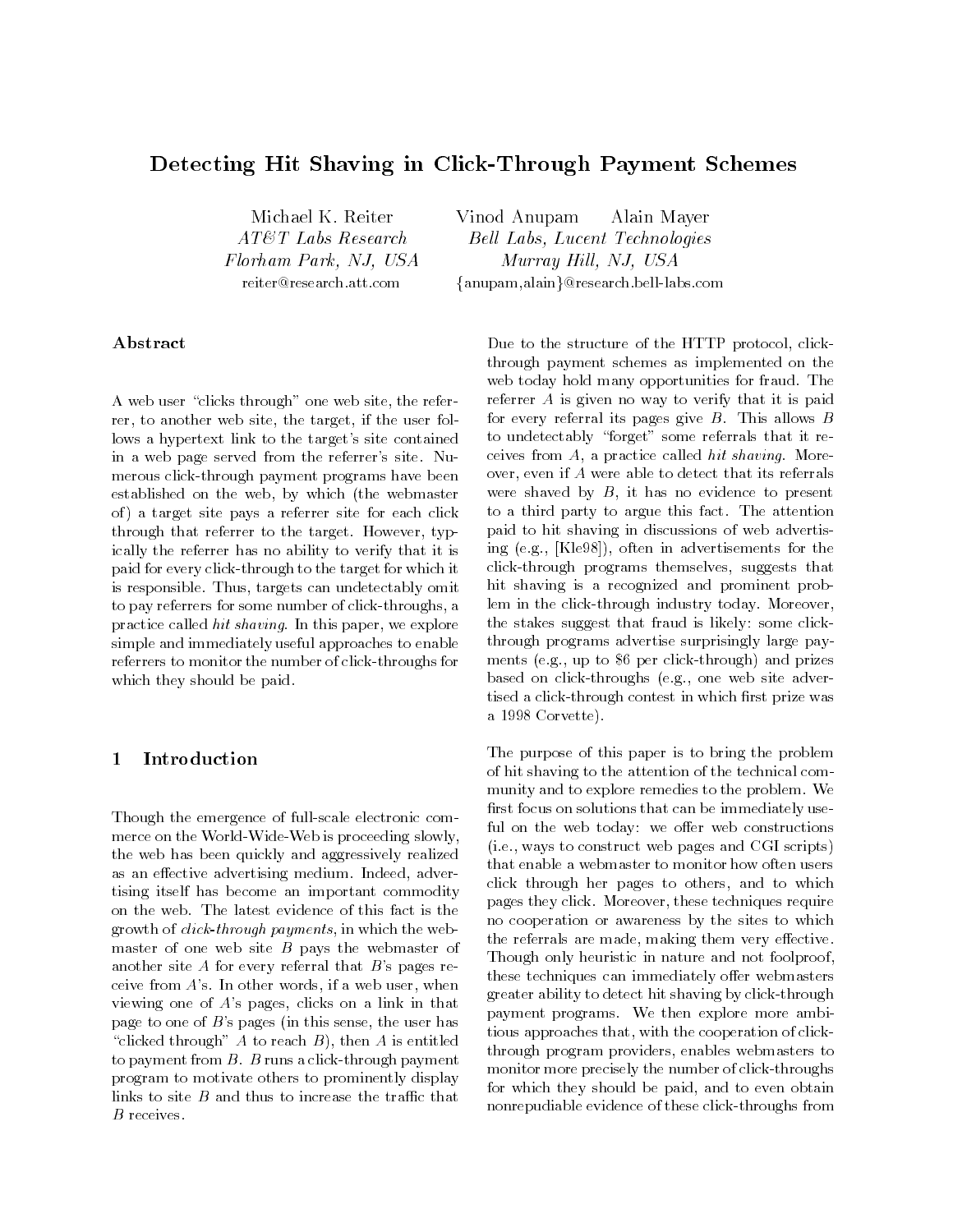## Detecting Hit Shaving in Click-Through Payment Schemes

Michael K. Reiter AT&T Labs Research Florham Park, NJ, USA reiter@research.att.com

Vinod Anupam Alain Mayer Bell Labs, Lucent Technologies Murray Hill, NJ, USA

{anupam,alain}@research.bell-labs.com

A web user "clicks through" one web site, the referrer, to another web site, the target, if the user follows a hypertext link to the target's site contained in a web page served from the referrer's site. Numerous click-through payment programs have been established on the web, by which (the webmaster of ) a target site pays a referrer site for each click through that referrer to the target. However, typically the referrer has no ability to verify that it is paid for every click-through to the target for which it is responsible. Thus, targets can undetectably omit to pay referrers for some number of click-throughs, a practice called hit shaving. In this paper, we explore simple and immediately useful approaches to enable referrers to monitor the number of click-throughs for which they should be paid.

### $\mathbf{1}$ **Introduction**

Though the emergence of full-scale electronic commerce on the World-Wide-Web is proceeding slowly, the web has been quickly and aggressively realized as an effective advertising medium. Indeed, advertising itself has become an important commodity on the web. The latest evidence of this fact is the growth of click-through payments, in which the webmaster of one web site  $B$  pays the webmaster of another site  $A$  for every referral that  $B$ 's pages receive from  $A$ 's. In other words, if a web user, when viewing one of A's pages, clicks on a link in that page to one of B's pages (in this sense, the user has "clicked through" A to reach  $B$ ), then A is entitled to payment from  $B$ .  $B$  runs a click-through payment program to motivate others to prominently display links to site  $B$  and thus to increase the traffic that  $B$  receives.

Due to the structure of the HTTP protocol, clickthrough payment schemes as implemented on the web today hold many opportunities for fraud. The referrer A is given no way to verify that it is paid for every referral its pages give  $B$ . This allows  $B$ to undetectably "forget" some referrals that it receives from  $A$ , a practice called hit shaving. Moreover, even if A were able to detect that its referrals were shaved by  $B$ , it has no evidence to present to a third party to argue this fact. The attention paid to hit shaving in discussions of web advertising (e.g., [Kle98]), often in advertisements for the click-through programs themselves, suggests that hit shaving is a recognized and prominent problem in the click-through industry today. Moreover, the stakes suggest that fraud is likely: some clickthrough programs advertise surprisingly large pay ments (e.g., up to \$6 per click-through) and prizes based on click-throughs (e.g., one web site advertised a click-through contest in which first prize was a 1998 Corvette).

The purpose of this paper is to bring the problem of hit shaving to the attention of the technical com munity and to explore remedies to the problem. We first focus on solutions that can be immediately useful on the web today: we offer web constructions (i.e., ways to construct web pages and CGI scripts) that enable a webmaster to monitor how often users click through her pages to others, and to which pages they click. Moreover, these techniques require no cooperation or awareness by the sites to which the referrals are made, making them very effective. Though only heuristic in nature and not foolproof, these techniques can immediately offer webmasters greater ability to detect hit shaving by click-through payment programs. We then explore more ambitious approaches that, with the cooperation of clickthrough program providers, enables webmasters to monitor more precisely the number of click-throughs for which they should be paid, and to even obtain nonrepudiable evidence of these click-throughs from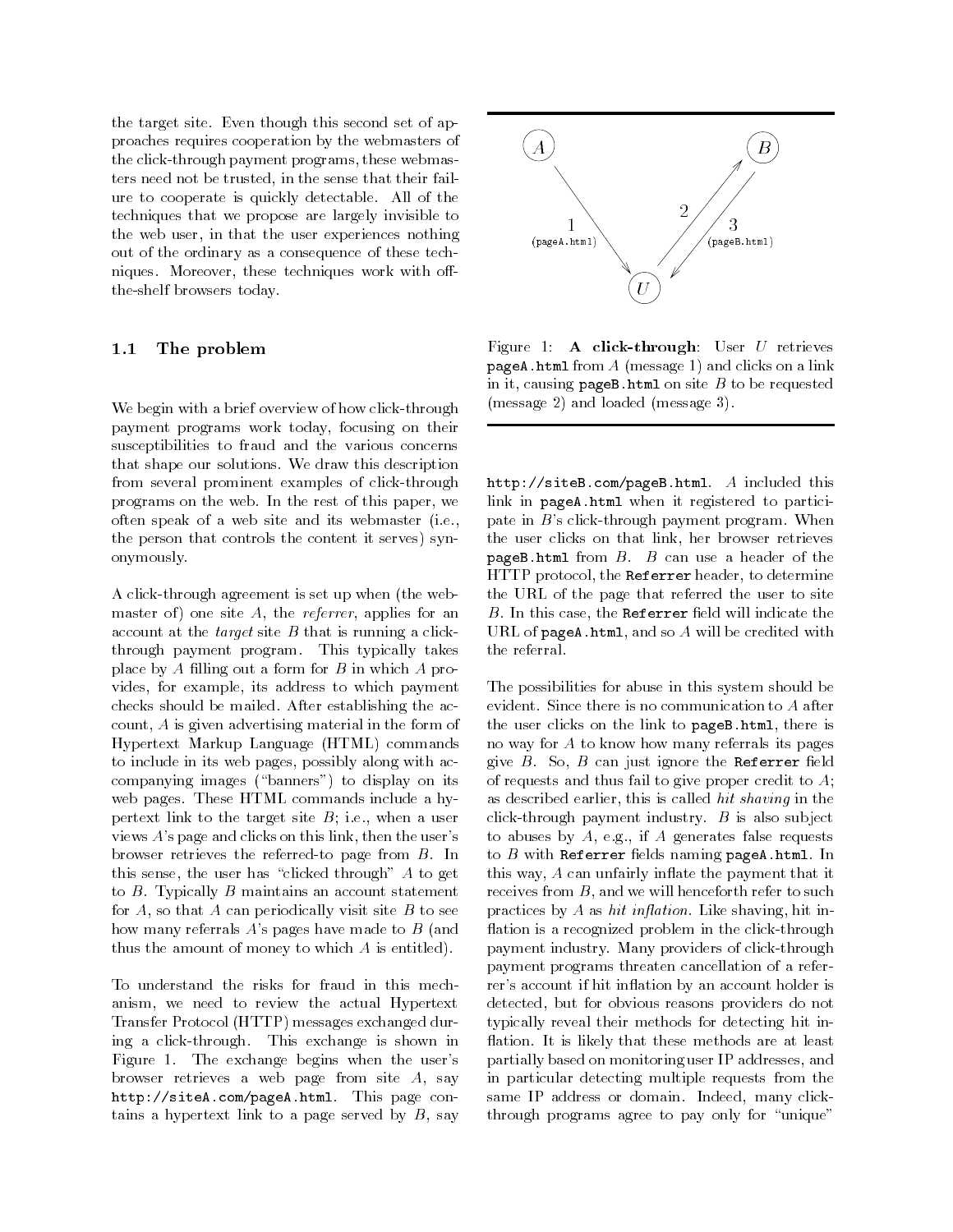the target site. Even though this second set of approaches requires cooperation by the webmasters of the click-through payment programs, these webmasters need not be trusted, in the sense that their failure to cooperate is quickly detectable. All of the techniques that we propose are largely invisible to the web user, in that the user experiences nothing out of the ordinary as a consequence of these techniques. Moreover, these techniques work with offthe-shelf browsers today.

#### $1.1$ The problem

We begin with a brief overview of how click-through payment programs work today, focusing on their susceptibilities to fraud and the various concerns that shape our solutions. We draw this description from several prominent examples of click-through programs on the web. In the rest of this paper, we often speak of a web site and its webmaster (i.e., the person that controls the content it serves) synonymously.

A click-through agreement is set up when (the webmaster of) one site  $A$ , the *referrer*, applies for an account at the *target* site  $B$  that is running a clickthrough payment program. This typically takes place by A filling out a form for  $B$  in which  $A$  provides, for example, its address to which payment checks should be mailed. After establishing the account, A is given advertising material in the form of Hypertext Markup Language (HTML) commands to include in its web pages, possibly along with accompanying images ("banners") to display on its web pages. These HTML commands include a hypertext link to the target site  $B$ ; i.e., when a user views A's page and clicks on this link, then the user's browser retrieves the referred-to page from B. In this sense, the user has "clicked through"  $A$  to get to  $B$ . Typically  $B$  maintains an account statement for  $A$ , so that  $A$  can periodically visit site  $B$  to see how many referrals  $A$ 's pages have made to  $B$  (and thus the amount of money to which  $A$  is entitled).

To understand the risks for fraud in this mechanism, we need to review the actual Hypertext Transfer Protocol (HTTP) messages exchanged during a click-through. This exchange is shown in Figure 1. The exchange begins when the user's browser retrieves a web page from site A, say http://siteA.com/pageA.html. This page contains a hypertext link to a page served by  $B$ , say



Figure 1: A click-through: User  $U$  retrieves pageA.html from  $A$  (message 1) and clicks on a link in it, causing  $pageB.html$  on site  $B$  to be requested (message 2) and loaded (message 3).

http://siteB.com/pageB.html. A included this link in pageA.html when it registered to participate in B's click-through payment program. When the user clicks on that link, her browser retrieves pageB.html from  $B$ .  $B$  can use a header of the HTTP protocol, the Referrer header, to determine the URL of the page that referred the user to site  $B$ . In this case, the Referrer field will indicate the URL of  $page{A.html}$ , and so  $A$  will be credited with the referral.

The possibilities for abuse in this system should be evident. Since there is no communication to A after the user clicks on the link to pageB.html, there is no way for A to know how many referrals its pages give  $B$ . So,  $B$  can just ignore the Referrer field of requests and thus fail to give proper credit to  $A$ ; as described earlier, this is called *hit shaving* in the click-through payment industry.  $B$  is also subject to abuses by  $A$ , e.g., if  $A$  generates false requests to  $B$  with Referrer fields naming pageA.html. In this way,  $A$  can unfairly inflate the payment that it receives from  $B$ , and we will henceforth refer to such practices by A as  $hit$  inflation. Like shaving, hit inflation is a recognized problem in the click-through payment industry. Many providers of click-through payment programs threaten cancellation of a referrer's account if hit inflation by an account holder is detected, but for obvious reasons providers do not typically reveal their methods for detecting hit in flation. It is likely that these methods are at least partially based on monitoring user IP addresses, and in particular detecting multiple requests from the same IP address or domain. Indeed, many clickthrough programs agree to pay only for "unique"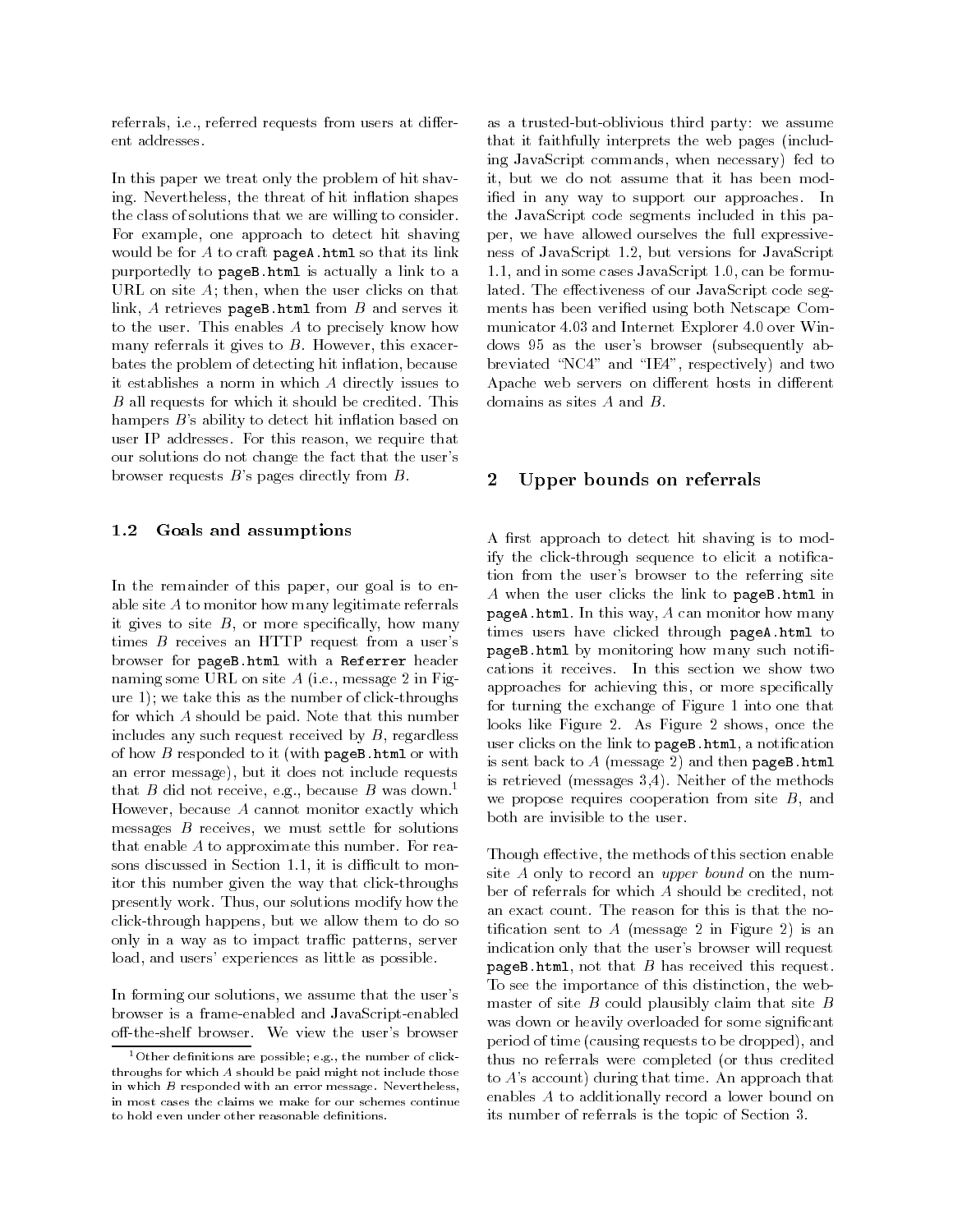referrals, i.e., referred requests from users at different addresses.

In this paper we treat only the problem of hit shaving. Nevertheless, the threat of hit inflation shapes the class of solutions that we are willing to consider. For example, one approach to detect hit shaving would be for  $A$  to craft pageA.html so that its link purportedly to pageB.html is actually a link to a URL on site A; then, when the user clicks on that link,  $A$  retrieves pageB.html from  $B$  and serves it to the user. This enables A to precisely know how many referrals it gives to  $B$ . However, this exacerbates the problem of detecting hit in
ation, because it establishes a norm in which A directly issues to B all requests for which it should be credited. This hampers  $B$ 's ability to detect hit inflation based on user IP addresses. For this reason, we require that our solutions do not change the fact that the user's browser requests B's pages directly from B.

### 1.2 Goals and assumptions

In the remainder of this paper, our goal is to enable site A to monitor how many legitimate referrals it gives to site  $B$ , or more specifically, how many times B receives an HTTP request from a user's browser for pageB.html with a Referrer header naming some URL on site A (i.e., message 2 in Figure 1); we take this as the number of click-throughs for which A should be paid. Note that this number includes any such request received by  $B$ , regardless of how  $B$  responded to it (with pageB.html or with an error message), but it does not include requests that B did not receive, e.g., because B was down.<sup>1</sup> However, because  $A$  cannot monitor exactly which both are invisible to the user. messages  $B$  receives, we must settle for solutions that enable A to approximate this number. For reasons discussed in Section 1.1, it is difficult to monitor this number given the way that click-throughs presently work. Thus, our solutions modify how the click-through happens, but we allow them to do so only in a way as to impact traffic patterns, server load, and users' experiences as little as possible.

In forming our solutions, we assume that the user's browser is a frame-enabled and JavaScript-enabled off-the-shelf browser. We view the user's browser

as a trusted-but-oblivious third party: we assume that it faithfully interprets the web pages (including JavaScript commands, when necessary) fed to it, but we do not assume that it has been modied in any way to support our approaches. In the JavaScript code segments included in this paper, we have allowed ourselves the full expressiveness of JavaScript 1.2, but versions for JavaScript 1.1, and in some cases JavaScript 1.0, can be formulated. The effectiveness of our JavaScript code segments has been veried using both Netscape Com municator 4.03 and Internet Explorer 4.0 over Windows 95 as the user's browser (subsequently abbreviated "NC4" and "IE4", respectively) and two Apache web servers on different hosts in different domains as sites A and B.

#### Upper bounds on referrals  $\overline{2}$

A first approach to detect hit shaving is to modify the click-through sequence to elicit a notification from the user's browser to the referring site A when the user clicks the link to pageB.html in pageA.html. In this way, A can monitor how many times users have clicked through pageA.html to pageB.html by monitoring how many such notifications it receives. In this section we show two approaches for achieving this, or more specifically for turning the exchange of Figure 1 into one that looks like Figure 2. As Figure 2 shows, once the user clicks on the link to pageB.html, a notification is sent back to  $A$  (message 2) and then pageB.html is retrieved (messages 3,4). Neither of the methods we propose requires cooperation from site  $B$ , and

Though effective, the methods of this section enable site A only to record an *upper bound* on the number of referrals for which A should be credited, not an exact count. The reason for this is that the notification sent to  $A$  (message 2 in Figure 2) is an indication only that the user's browser will request  $pageB.html$ , not that  $B$  has received this request. To see the importance of this distinction, the webmaster of site  $B$  could plausibly claim that site  $B$ was down or heavily overloaded for some signicant period of time (causing requests to be dropped), and thus no referrals were completed (or thus credited to A's account) during that time. An approach that enables A to additionally record a lower bound on its number of referrals is the topic of Section 3.

 $1$  Other definitions are possible; e.g., the number of clickthroughs for which A should be paid might not include those in which B responded with an error message. Nevertheless, in most cases the claims we make for our schemes continue to hold even under other reasonable definitions.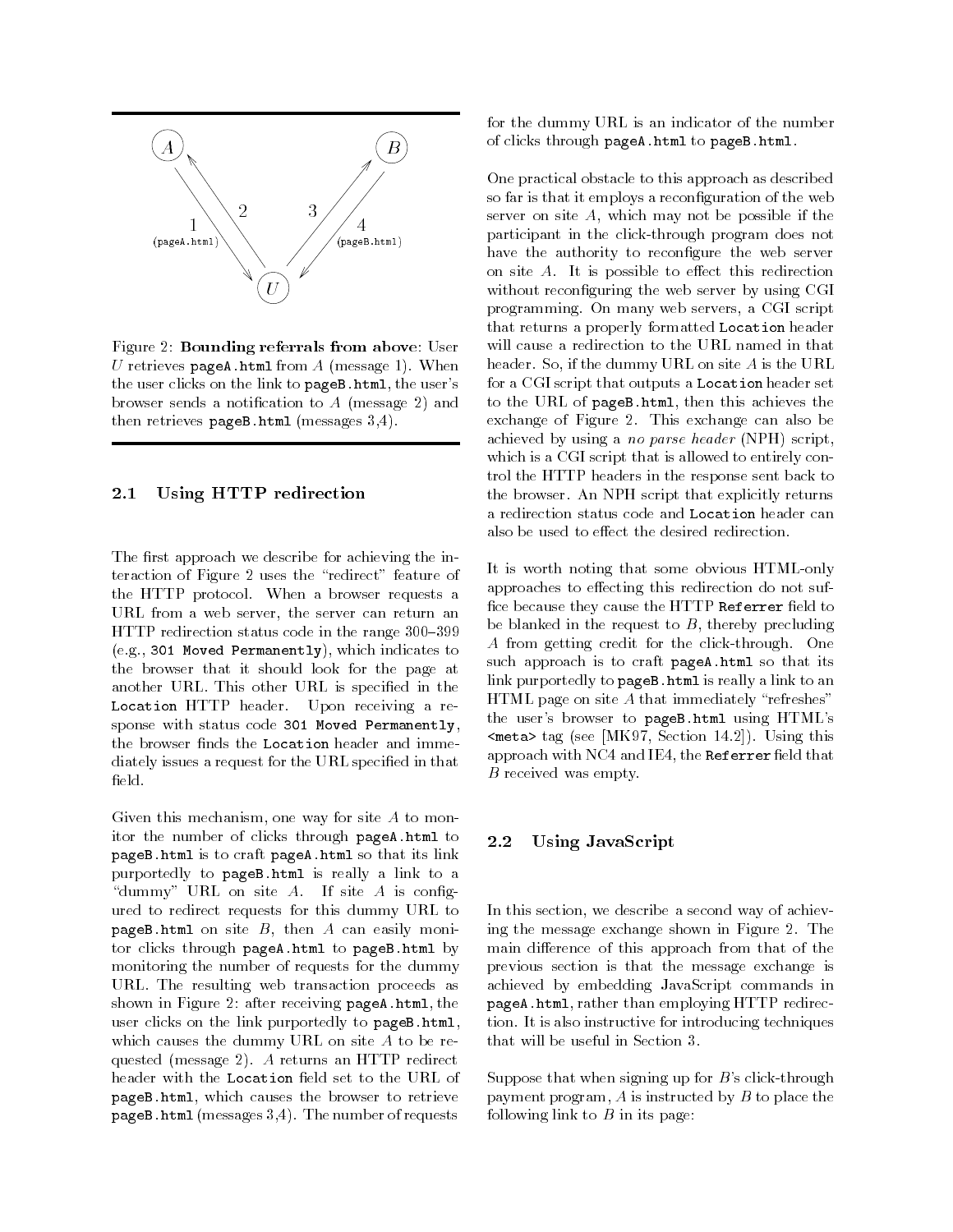

Figure 2: Bounding referrals from above: User U retrieves pageA.html from  $A$  (message 1). When the user clicks on the link to pageB.html, the user's browser sends a notification to  $A$  (message 2) and then retrieves pageB.html (messages 3.4).

### 2.1 Using HTTP redirection

The first approach we describe for achieving the interaction of Figure 2 uses the \redirect" feature of the HTTP protocol. When a browser requests a URL from a web server, the server can return an HTTP redirection status code in the range  $300-399$ (e.g., 301 Moved Permanently), which indicates to the browser that it should look for the page at another URL. This other URL is specified in the Location HTTP header. Upon receiving a response with status code 301 Moved Permanently, the browser finds the Location header and immediately issues a request for the URL specied in that field.

Given this mechanism, one way for site A to monitor the number of clicks through pageA.html to pageB.html is to craft pageA.html so that its link purportedly to pageB.html is really a link to a "dummy" URL on site  $A$ . If site  $A$  is configured to redirect requests for this dummy URL to pageB.html on site  $B$ , then  $A$  can easily monitor clicks through pageA.html to pageB.html by monitoring the number of requests for the dummy URL. The resulting web transaction proceeds as shown in Figure 2: after receiving pageA.html, the user clicks on the link purportedly to pageB.html, which causes the dummy URL on site A to be requested (message 2). A returns an HTTP redirect header with the Location field set to the URL of pageB.html, which causes the browser to retrieve pageB.html (messages 3,4). The number of requests

for the dummy URL is an indicator of the number of clicks through pageA.html to pageB.html.

One practical obstacle to this approach as described so far is that it employs a reconfiguration of the web server on site  $A$ , which may not be possible if the participant in the click-through program does not have the authority to reconfigure the web server on site  $A$ . It is possible to effect this redirection without reconfiguring the web server by using CGI programming. On many web servers, a CGI script that returns a properly formatted Location header will cause a redirection to the URL named in that header. So, if the dummy URL on site A is the URL for a CGI script that outputs a Location header set to the URL of pageB.html, then this achieves the exchange of Figure 2. This exchange can also be achieved by using a *no parse header* (NPH) script, which is a CGI script that is allowed to entirely control the HTTP headers in the response sent back to the browser. An NPH script that explicitly returns a redirection status code and Location header can

It is worth noting that some obvious HTML-only approaches to effecting this redirection do not suffice because they cause the HTTP Referrer field to be blanked in the request to  $B$ , thereby precluding A from getting credit for the click-through. One such approach is to craft pageA.html so that its link purportedly to pageB.html is really a link to an HTML page on site  $A$  that immediately "refreshes" the user's browser to pageB.html using HTML's <meta> tag (see [MK97, Section 14.2]). Using this approach with NC4 and IE4, the  $\texttt{Refer}$  field that B received was empty.

#### $2.2$ Using JavaScript

In this section, we describe a second way of achieving the message exchange shown in Figure 2. The main difference of this approach from that of the previous section is that the message exchange is achieved by embedding JavaScript commands in pageA.html, rather than employing HTTP redirection. It is also instructive for introducing techniques that will be useful in Section 3.

Suppose that when signing up for  $B$ 's click-through payment program,  $A$  is instructed by  $B$  to place the following link to  $B$  in its page: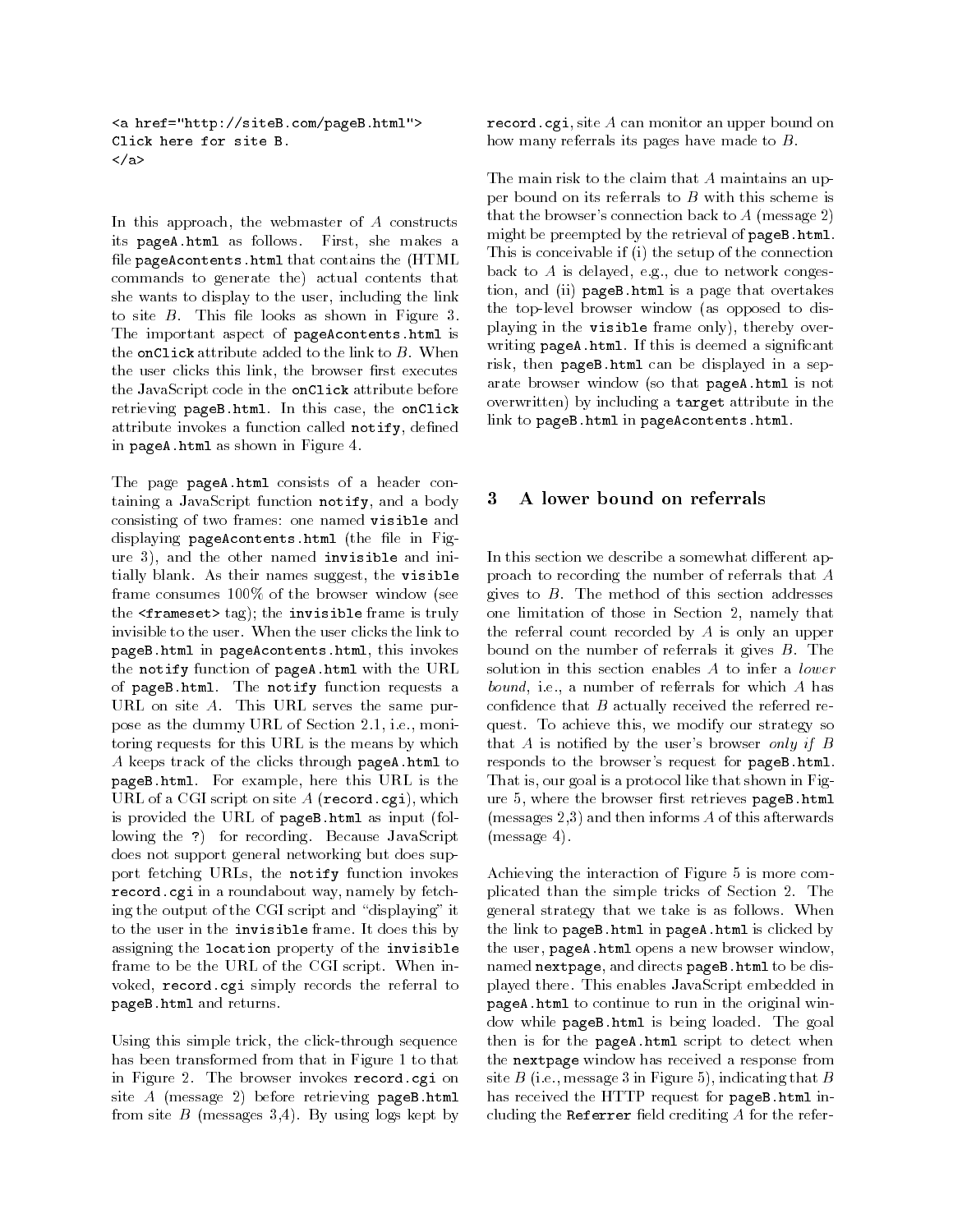<a href="http://siteB.com/pageB.html"> Click here for site B.  $\langle$ a> and the contract of the contract of the contract of the contract of the contract of the contract of the contract of the contract of the contract of the contract of the contract of the contract of the contract of the contra

In this approach, the webmaster of  $A$  constructs its pageA.html as follows. First, she makes a file pageAcontents.html that contains the (HTML commands to generate the) actual contents that she wants to display to the user, including the link to site  $B$ . This file looks as shown in Figure 3. The important aspect of pageAcontents.html is the onClick attribute added to the link to  $B$ . When the user clicks this link, the browser first executes the user clicks this link, the browser rst executes the JavaScript code in the onClick attribute before retrieving pageB.html. In this case, the onClick attribute invokes a function called notify, defined in pageA.html as shown in Figure 4.

The page pageA.html consists of a header containing a JavaScript function notify, and a body consisting of two frames: one named visible and displaying pageAcontents.html (the file in Figure 3), and the other named invisible and initially blank. As their names suggest, the visible frame consumes 100% of the browser window (see the  $\langle$  frameset> tag); the invisible frame is truly invisible to the user. When the user clicks the link to pageB.html in pageAcontents.html, this invokes the notify function of pageA.html with the URL of pageB.html. The notify function requests a URL on site A. This URL serves the same purpose as the dummy URL of Section 2.1, i.e., monitoring requests for this URL is the means by which A keeps track of the clicks through pageA.html to pageB.html. For example, here this URL is the URL of a CGI script on site  $A$  (record.cgi), which is provided the URL of pageB.html as input (following the ?) for recording. Because JavaScript does not support general networking but does support fetching URLs, the notify function invokes record.cgi in a roundabout way, namely by fetching the output of the CGI script and "displaying" it to the user in the invisible frame. It does this by assigning the location property of the invisible frame to be the URL of the CGI script. When invoked, record.cgi simply records the referral to pageB.html and returns.

Using this simple trick, the click-through sequence has been transformed from that in Figure 1 to that in Figure 2. The browser invokes record.cgi on site A (message 2) before retrieving pageB.html from site  $B$  (messages 3.4). By using logs kept by record.cgi, site A can monitor an upper bound on how many referrals its pages have made to B.

The main risk to the claim that A maintains an upper bound on its referrals to  $B$  with this scheme is that the browser's connection back to  $A$  (message 2) might be preempted by the retrieval of pageB.html. This is conceivable if (i) the setup of the connection back to  $A$  is delayed, e.g., due to network congestion, and (ii) pageB.html is a page that overtakes the top-level browser window (as opposed to displaying in the visible frame only), thereby over writing pageA.html. If this is deemed a significant risk, then pageB.html can be displayed in a separate browser window (so that pageA.html is not overwritten) by including a target attribute in the link to pageB.html in pageAcontents.html.

### A lower bound on referrals 3

In this section we describe a somewhat different approach to recording the number of referrals that A gives to  $B$ . The method of this section addresses one limitation of those in Section 2, namely that the referral count recorded by  $A$  is only an upper bound on the number of referrals it gives  $B$ . The solution in this section enables A to infer a lower bound, i.e., a number of referrals for which A has confidence that  $B$  actually received the referred request. To achieve this, we modify our strategy so that  $A$  is notified by the user's browser only if  $B$ responds to the browser's request for pageB.html. That is, our goal is a protocol like that shown in Figure 5, where the browser first retrieves pageB.html (messages 2,3) and then informs A of this afterwards (message 4).

Achieving the interaction of Figure 5 is more complicated than the simple tricks of Section 2. The general strategy that we take is as follows. When the link to pageB.html in pageA.html is clicked by the user, pageA.html opens a new browser window, named nextpage, and directs pageB.html to be displayed there. This enables JavaScript embedded in pageA.html to continue to run in the original window while pageB.html is being loaded. The goal then is for the pageA.html script to detect when the nextpage window has received a response from site  $B$  (i.e., message 3 in Figure 5), indicating that  $B$ has received the HTTP request for pageB.html including the Referrer field crediting  $A$  for the refer-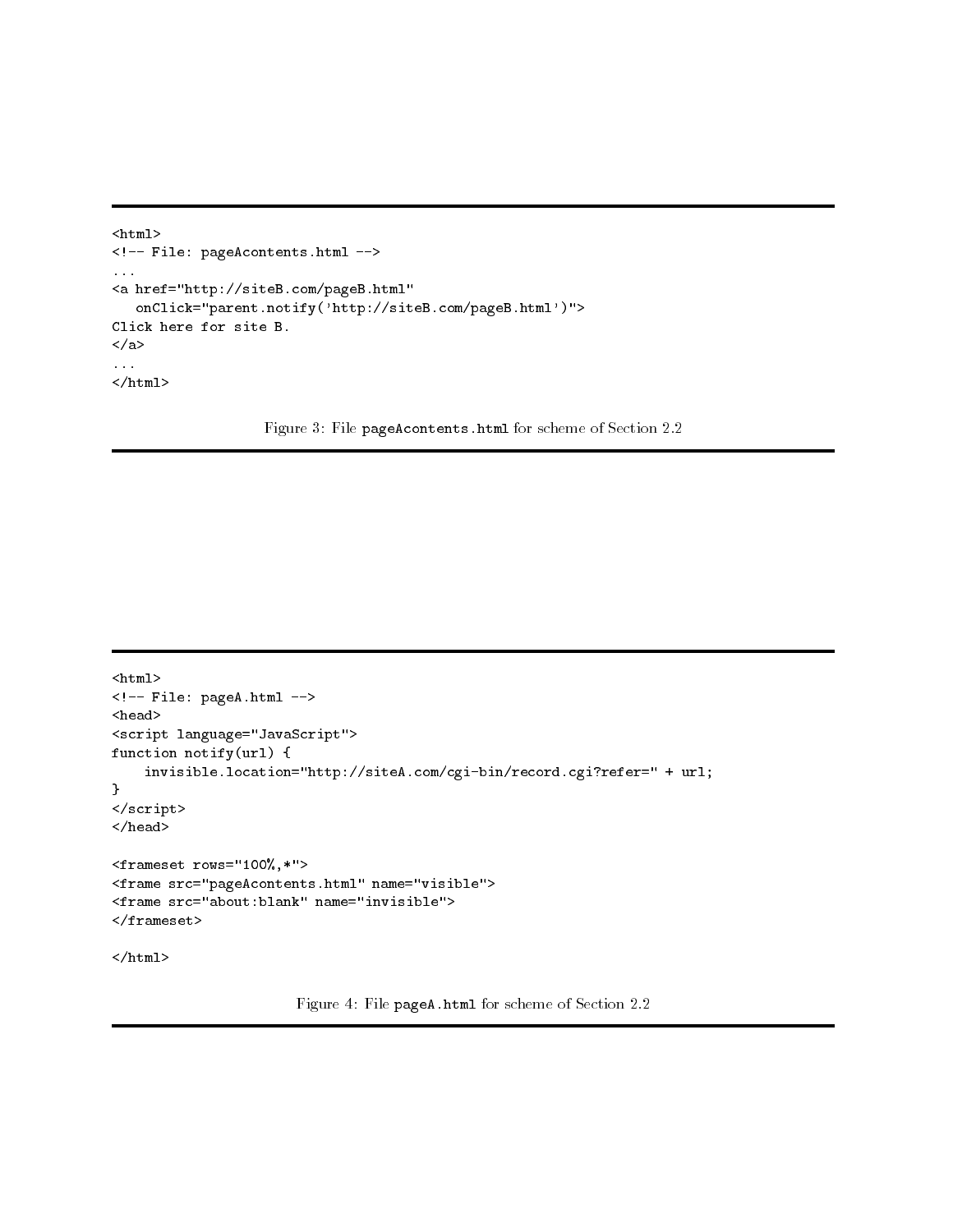```
<html><!-- File: pageAcontents.html -->
...
<a href="http://siteB.com/pageB.html"
   onClick="parent.notify('http://siteB.com/pageB.html')">
Click here for site B.
</a>
...
\langle/html\rangle
```
Figure 3: File pageAcontents.html for scheme of Section 2.2

```
<html><!-- File: pageA.html -->
<head>
<script language="JavaScript">
function notify(url) {
    invisible.location="http://siteA.com/cgi-bin/record.cgi?refer=" + url;
}
</script>
</head>
<frameset rows="100%,*">
<frame src="pageAcontents.html" name="visible">
<frame src="about:blank" name="invisible">
</frameset>
\langle/html>
```
Figure 4: File pageA.html for scheme of Section 2.2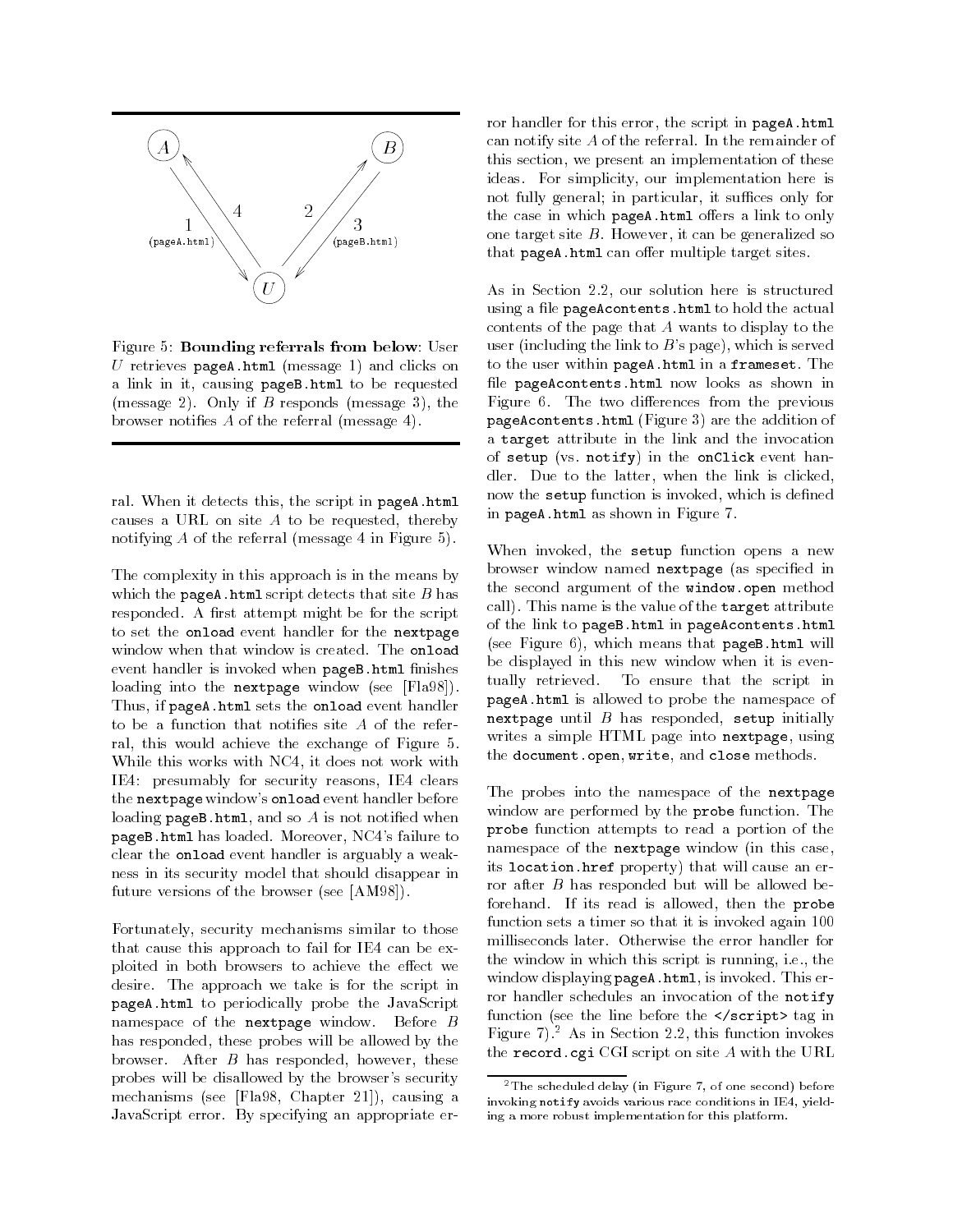

Figure 5: Bounding referrals from below: User U retrieves pageA.html (message 1) and clicks on a link in it, causing pageB.html to be requested (message 2). Only if  $B$  responds (message 3), the browser notifies  $A$  of the referral (message 4).

ral. When it detects this, the script in pageA.html causes a URL on site  $A$  to be requested, thereby notifying A of the referral (message 4 in Figure 5).

The complexity in this approach is in the means by which the pageA.html script detects that site  $B$  has responded. A first attempt might be for the script to set the onload event handler for the nextpage window when that window is created. The onload event handler is invoked when pageB.html finishes loading into the nextpage window (see [Fla98]). Thus, if pageA.html sets the onload event handler to be a function that notifies site  $A$  of the referral, this would achieve the exchange of Figure 5. While this works with NC4, it does not work with IE4: presumably for security reasons, IE4 clears the nextpage window's onload event handler before loading  $pageB.html$ , and so  $A$  is not notified when pageB.html has loaded. Moreover, NC4's failure to clear the onload event handler is arguably a weakness in its security model that should disappear in future versions of the browser (see [AM98]).

Fortunately, security mechanisms similar to those that cause this approach to fail for IE4 can be exploited in both browsers to achieve the effect we desire. The approach we take is for the script in pageA.html to periodically probe the JavaScript namespace of the **nextpage** window. Before  $B$ has responded, these probes will be allowed by the browser. After  $B$  has responded, however, these probes will be disallowed by the browser's security mechanisms (see [Fla98, Chapter 21]), causing a JavaScript error. By specifying an appropriate error handler for this error, the script in pageA.html can notify site A of the referral. In the remainder of this section, we present an implementation of these ideas. For simplicity, our implementation here is not fully general; in particular, it suffices only for the case in which pageA.html offers a link to only one target site  $B$ . However, it can be generalized so that pageA.html can offer multiple target sites.

As in Section 2.2, our solution here is structured using a file pageAcontents.html to hold the actual contents of the page that A wants to display to the user (including the link to  $B$ 's page), which is served to the user within pageA.html in a frameset. The file pageAcontents.html now looks as shown in Figure 6. The two differences from the previous pageAcontents.html (Figure 3) are the addition of a target attribute in the link and the invocation of setup (vs. notify) in the onClick event handler. Due to the latter, when the link is clicked, now the setup function is invoked, which is defined in pageA.html as shown in Figure 7.

When invoked, the setup function opens a new browser window named nextpage (as specied in the second argument of the window.open method call). This name is the value of the target attribute of the link to pageB.html in pageAcontents.html (see Figure 6), which means that pageB.html will be displayed in this new window when it is eventually retrieved. To ensure that the script in pageA.html is allowed to probe the namespace of nextpage until  $B$  has responded, setup initially writes a simple HTML page into nextpage, using the document.open, write, and close methods.

The probes into the namespace of the nextpage window are performed by the probe function. The probe function attempts to read a portion of the namespace of the nextpage window (in this case, its location.href property) that will cause an error after  $B$  has responded but will be allowed beforehand. If its read is allowed, then the probe function sets a timer so that it is invoked again 100 milliseconds later. Otherwise the error handler for the window in which this script is running, i.e., the window displaying pageA.html, is invoked. This error handler schedules an invocation of the notify function (see the line before the </script> tag in Figure 7).<sup>2</sup> As in Section 2.2, this function invokes the record.cgi CGI script on site A with the URL

<sup>2</sup>The scheduled delay (in Figure 7, of one second) before invoking notify avoids various race conditions in IE4, yielding a more robust implementation for this platform.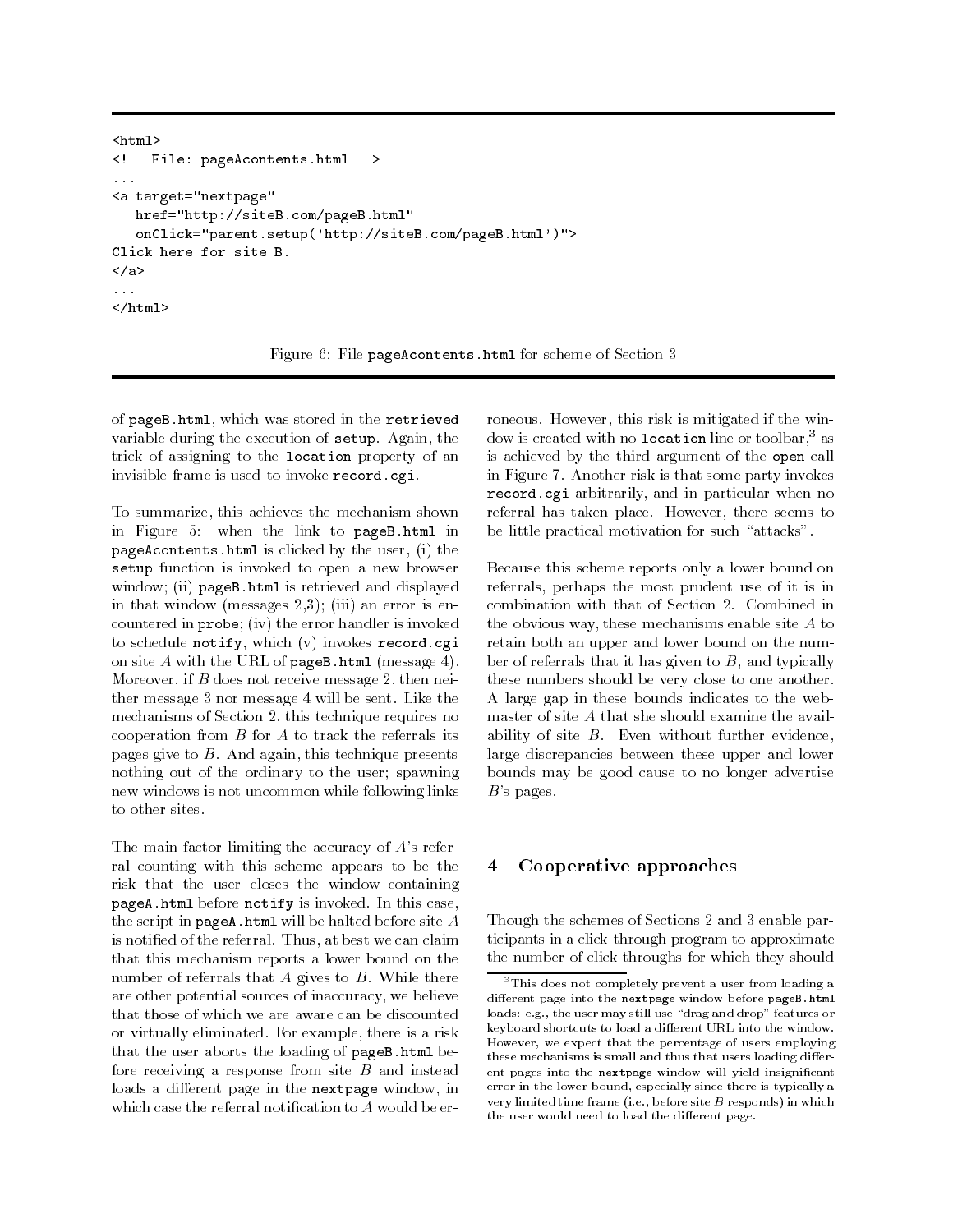```
<html><!-- File: pageAcontents.html -->
<a target="nextpage"
      href="http://siteB.com/pageB.html"
       onClick="parent.setup('http://siteB.com/pageB.html')">
Click here for site B.
\langlea>
and the contract of the contract of the contract of the contract of the contract of the contract of the contract of the contract of the contract of the contract of the contract of the contract of the contract of the contra
\langle/html>
```
Figure 6: File pageAcontents.html for scheme of Section 3

of pageB.html, which was stored in the retrieved variable during the execution of setup. Again, the trick of assigning to the location property of an invisible frame is used to invoke record.cgi.

To summarize, this achieves the mechanism shown in Figure 5: when the link to pageB.html in pageAcontents.html is clicked by the user, (i) the setup function is invoked to open a new browser window; (ii) pageB.html is retrieved and displayed in that window (messages  $2,3$ ); (iii) an error is encountered in probe; (iv) the error handler is invoked to schedule notify, which (v) invokes record.cgi on site  $A$  with the URL of pageB.html (message 4). Moreover, if  $B$  does not receive message 2, then neither message 3 nor message 4 will be sent. Like the mechanisms of Section 2, this technique requires no cooperation from  $B$  for  $A$  to track the referrals its pages give to  $B$ . And again, this technique presents nothing out of the ordinary to the user; spawning new windows is not uncommon while following links to other sites.

The main factor limiting the accuracy of  $A$ 's referral counting with this scheme appears to be the risk that the user closes the window containing pageA.html before notify is invoked. In this case, the script in pageA.html will be halted before site  $A$ is notied of the referral. Thus, at best we can claim that this mechanism reports a lower bound on the number of referrals that  $A$  gives to  $B$ . While there are other potential sources of inaccuracy, we believe that those of which we are aware can be discounted or virtually eliminated. For example, there is a risk that the user aborts the loading of pageB.html before receiving a response from site  $B$  and instead loads a different page in the nextpage window, in which case the referral notification to A would be erroneous. However, this risk is mitigated if the window is created with no location line or toolbar,<sup>3</sup> as is achieved by the third argument of the open call in Figure 7. Another risk is that some party invokes record.cgi arbitrarily, and in particular when no referral has taken place. However, there seems to be little practical motivation for such "attacks".

Because this scheme reports only a lower bound on referrals, perhaps the most prudent use of it is in combination with that of Section 2. Combined in the obvious way, these mechanisms enable site A to retain both an upper and lower bound on the number of referrals that it has given to  $B$ , and typically these numbers should be very close to one another. A large gap in these bounds indicates to the webmaster of site A that she should examine the availability of site  $B$ . Even without further evidence, large discrepancies between these upper and lower bounds may be good cause to no longer advertise  $B$ 's pages.

## 4 Cooperative approaches

Though the schemes of Sections 2 and 3 enable participants in a click-through program to approximate the number of click-throughs for which they should

<sup>&</sup>lt;sup>3</sup>This does not completely prevent a user from loading a different page into the nextpage window before pageB.html loads: e.g., the user may still use "drag and drop" features or keyboard shortcuts to load a different URL into the window. However, we expect that the percentage of users employing these mechanisms is small and thus that users loading different pages into the nextpage window will yield insignicant error in the lower bound, especially since there is typically a very limited time frame (i.e., before site B responds) in which the user would need to load the different page.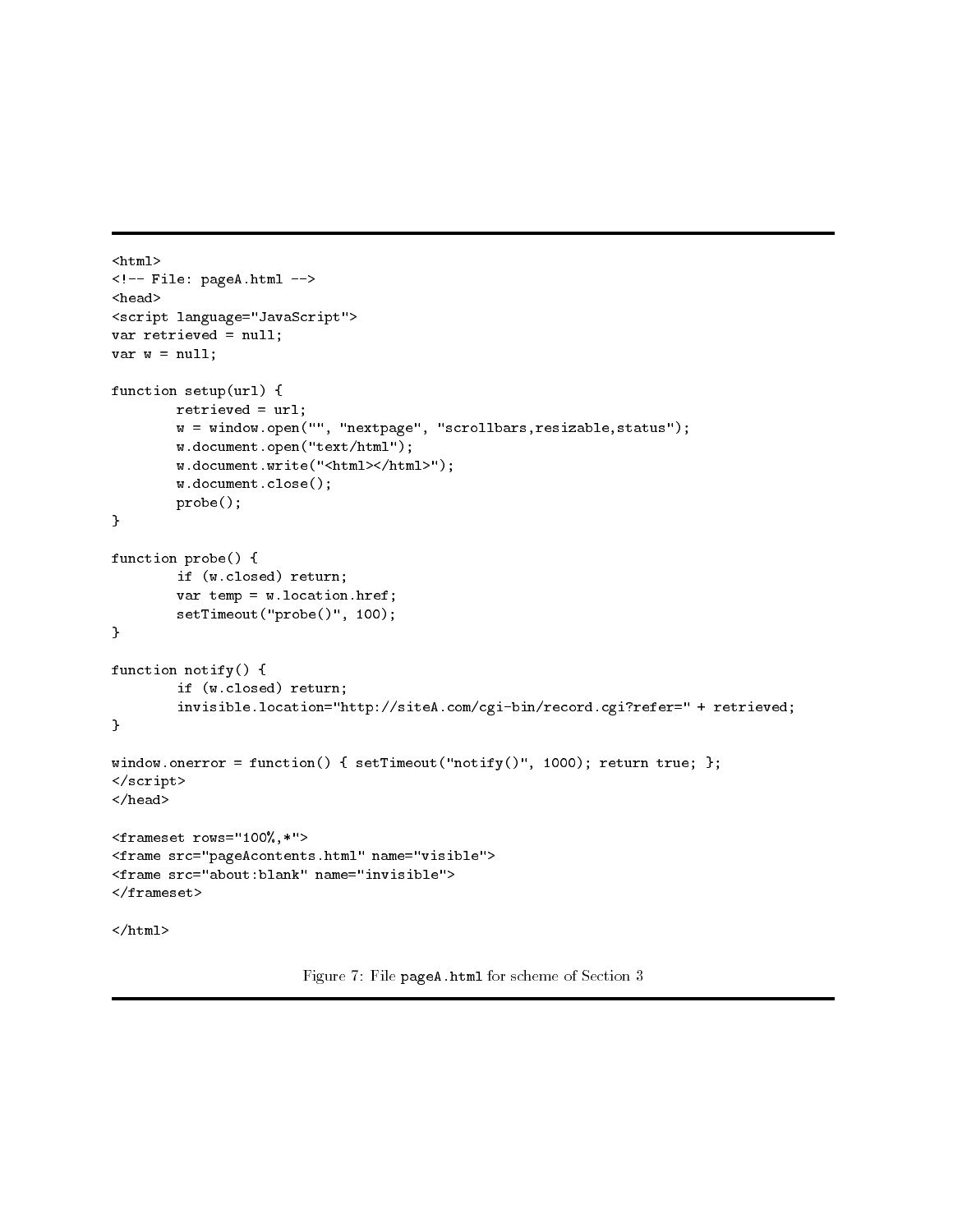```
<html><!-- File: pageA.html -->
<head>
<script language="JavaScript">
var retrieved = null;
var w = null;function setup(url) {
        retrieved = url;
        w = window.open("", "nextpage", "scrollbars,resizable,status");
        w.document.open("text/html");
        w.document.write("<html></html>");
        w.document.close();
        probe();
}
function probe() {
        if (w.closed) return;
        var temp = w. location. href;
        setTimeout("probe()", 100);
}
function notify() {
        if (w.closed) return;
        invisible.location="http://siteA.com/cgi-bin/record.cgi?refer=" + retrieved;
}
window.onerror = function() { setTimeout("notify()", 1000); return true; };
</script>
</head>
<frameset rows="100%,*">
<frame src="pageAcontents.html" name="visible">
<frame src="about:blank" name="invisible">
\langle/frameset>
</frameset>
\langle/html>
</html>
```
Figure 7: File pageA.html for scheme of Section 3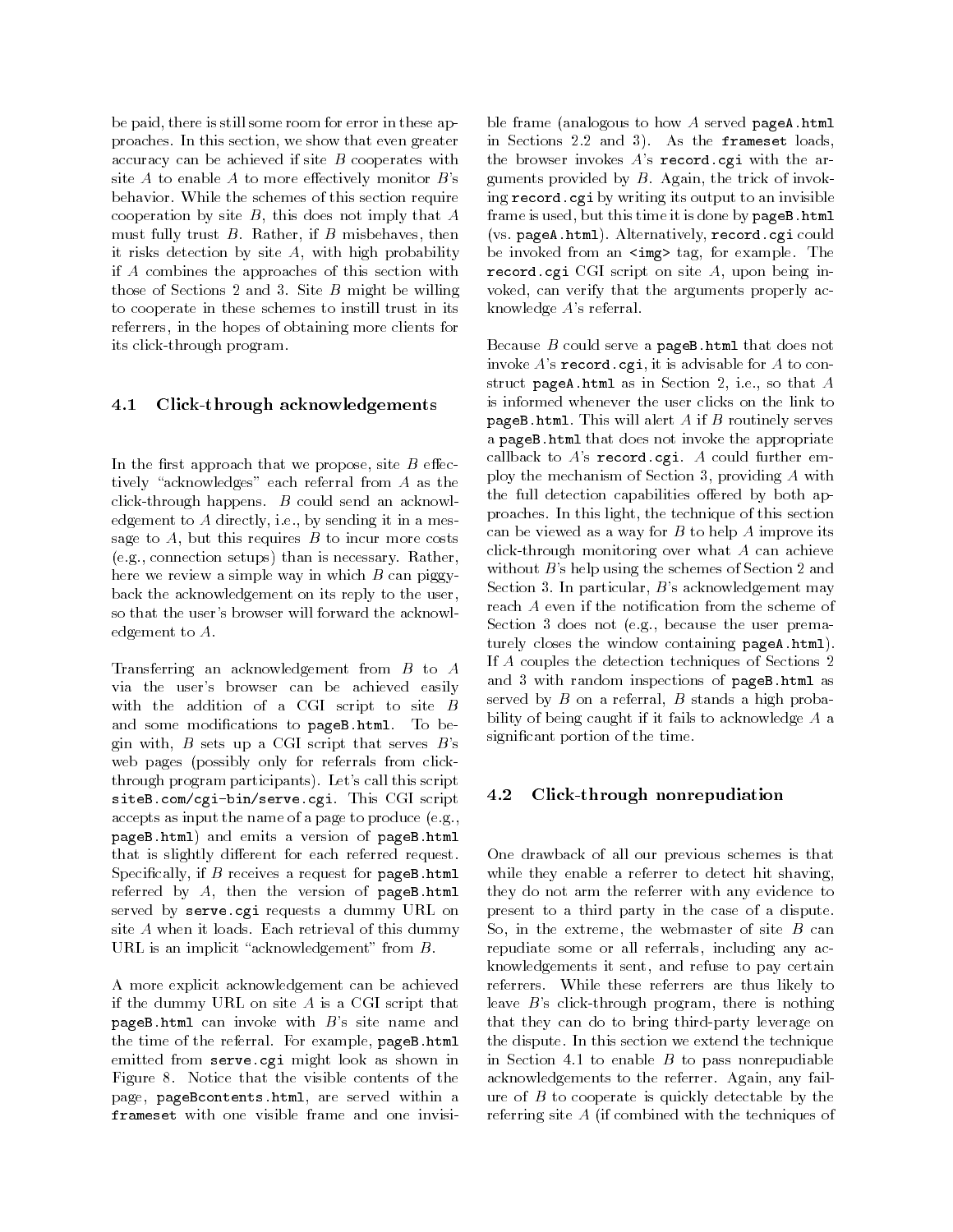be paid, there is still some room for error in these approaches. In this section, we show that even greater accuracy can be achieved if site  $B$  cooperates with site  $A$  to enable  $A$  to more effectively monitor  $B$ 's behavior. While the schemes of this section require cooperation by site  $B$ , this does not imply that  $A$ must fully trust  $B$ . Rather, if  $B$  misbehaves, then it risks detection by site  $A$ , with high probability if A combines the approaches of this section with those of Sections 2 and 3. Site  $B$  might be willing to cooperate in these schemes to instill trust in its referrers, in the hopes of obtaining more clients for its click-through program.

### 4.1 Click-through acknowledgements

In the first approach that we propose, site  $B$  effectively "acknowledges" each referral from  $A$  as the click-through happens. B could send an acknowledgement to A directly, i.e., by sending it in a message to  $A$ , but this requires  $B$  to incur more costs (e.g., connection setups) than is necessary. Rather, here we review a simple way in which  $B$  can piggyback the acknowledgement on its reply to the user, so that the user's browser will forward the acknowledgement to A.

Transferring an acknowledgement from B to A via the user's browser can be achieved easily with the addition of a CGI script to site B and some modifications to pageB.html. To begin with,  $B$  sets up a CGI script that serves  $B$ 's web pages (possibly only for referrals from clickthrough program participants). Let's call this script siteB.com/cgi-bin/serve.cgi. This CGI script accepts as input the name of a page to produce (e.g., pageB.html) and emits a version of pageB.html that is slightly different for each referred request. Specifically, if  $B$  receives a request for pageB.html referred by A, then the version of pageB.html served by serve.cgi requests a dummy URL on site A when it loads. Each retrieval of this dummy URL is an implicit "acknowledgement" from  $B$ .

A more explicit acknowledgement can be achieved if the dummy URL on site A is a CGI script that pageB.html can invoke with  $B$ 's site name and the time of the referral. For example, pageB.html emitted from serve.cgi might look as shown in Figure 8. Notice that the visible contents of the page, pageBcontents.html, are served within a frameset with one visible frame and one invisible frame (analogous to how  $A$  served pageA.html in Sections 2.2 and 3). As the frameset loads, the browser invokes  $A$ 's record.cgi with the arguments provided by  $B$ . Again, the trick of invoking record.cgi by writing its output to an invisible frame is used, but this time it is done by pageB.html (vs. pageA.html). Alternatively, record.cgi could be invoked from an  $\langle \text{img} \rangle$  tag, for example. The record.cgi CGI script on site A, upon being invoked, can verify that the arguments properly acknowledge A's referral.

Because  $B$  could serve a pageB.html that does not invoke  $A$ 's record.cgi, it is advisable for  $A$  to construct pageA.html as in Section 2, i.e., so that  $A$ is informed whenever the user clicks on the link to pageB.html. This will alert  $A$  if  $B$  routinely serves a pageB.html that does not invoke the appropriate callback to  $A$ 's record.cgi.  $A$  could further employ the mechanism of Section 3, providing A with the full detection capabilities offered by both approaches. In this light, the technique of this section can be viewed as a way for  $B$  to help  $A$  improve its click-through monitoring over what A can achieve without  $B$ 's help using the schemes of Section 2 and Section 3. In particular,  $B$ 's acknowledgement may reach  $A$  even if the notification from the scheme of Section 3 does not (e.g., because the user prematurely closes the window containing pageA.html). If A couples the detection techniques of Sections 2 and 3 with random inspections of pageB.html as served by  $B$  on a referral,  $B$  stands a high probability of being caught if it fails to acknowledge A a signicant portion of the time.

### 4.2 Click-through nonrepudiation

One drawback of all our previous schemes is that while they enable a referrer to detect hit shaving, they do not arm the referrer with any evidence to present to a third party in the case of a dispute. So, in the extreme, the webmaster of site  $B$  can repudiate some or all referrals, including any acknowledgements it sent, and refuse to pay certain referrers. While these referrers are thus likely to leave  $B$ 's click-through program, there is nothing that they can do to bring third-party leverage on the dispute. In this section we extend the technique in Section 4.1 to enable  $B$  to pass nonrepudiable acknowledgements to the referrer. Again, any failure of  $B$  to cooperate is quickly detectable by the referring site A (if combined with the techniques of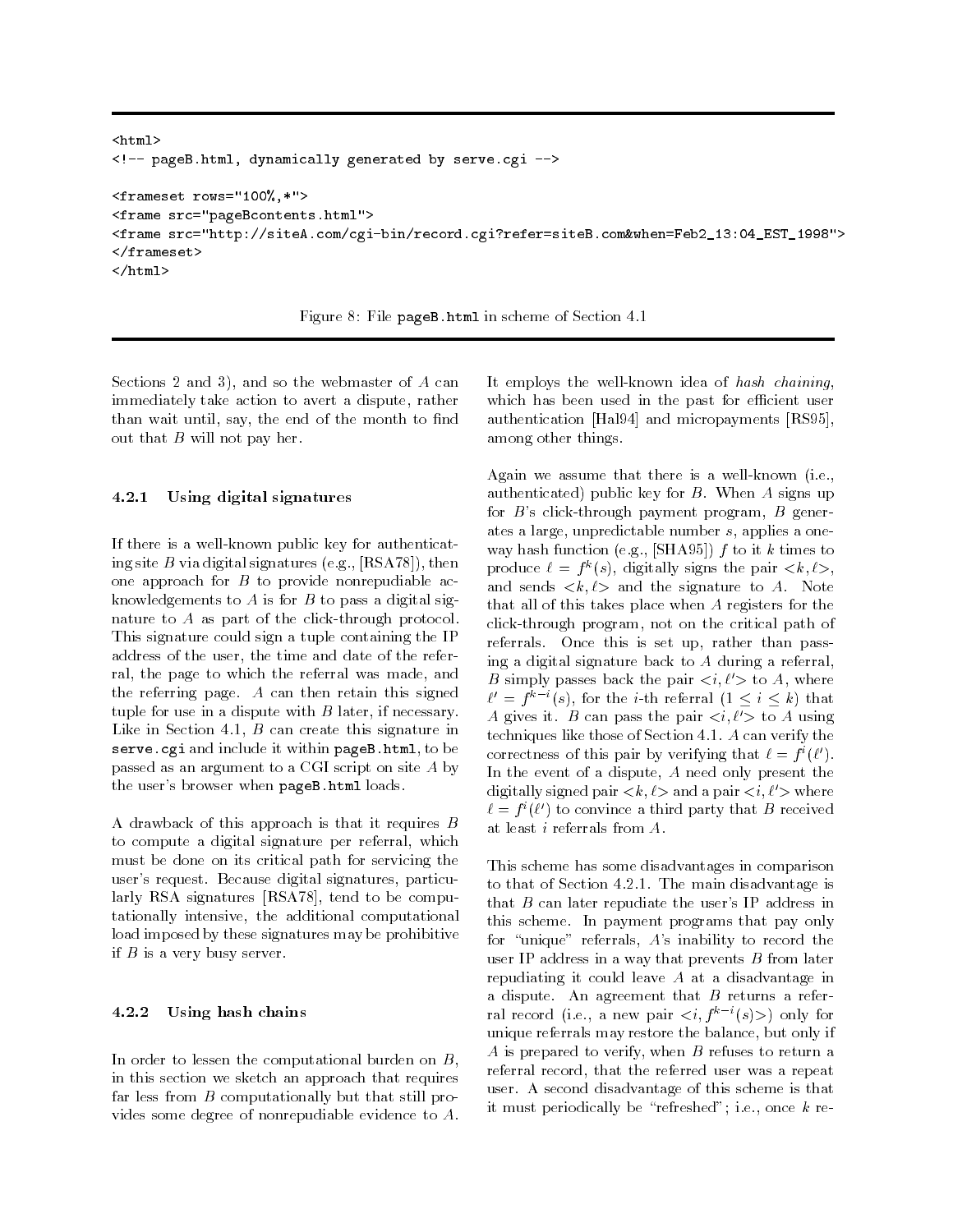```
<html><!-- pageB.html, dynamically generated by serve.cgi -->
<frameset rows="100%,*">
<frame src="pageBcontents.html">
<frame src="http://siteA.com/cgi-bin/record.cgi?refer=siteB.com&when=Feb2_13:04_EST_1998">
\langle / frameset>
\mathcal{F} and \mathcal{F} are set of \mathcal{F} and \mathcal{F} are set of \mathcal{F} and \mathcal{F}\langle/html>
\mathcal{L} . The contract of the contract of the contract of the contract of the contract of the contract of the contract of the contract of the contract of the contract of the contract of the contract of the contract of th
```
Figure 8: File pageB.html in scheme of Section 4.1

Sections 2 and 3), and so the webmaster of  $A$  can immediately take action to avert a dispute, rather than wait until, say, the end of the month to find out that  $B$  will not pay her.

### 4.2.1 Using digital signatures

If there is a well-known public key for authenticating site B via digital signatures (e.g.,  $[RSA78]$ ), then one approach for  $B$  to provide nonrepudiable acknowledgements to  $A$  is for  $B$  to pass a digital signature to A as part of the click-through protocol. This signature could sign a tuple containing the IP address of the user, the time and date of the referral, the page to which the referral was made, and the referring page.  $A$  can then retain this signed tuple for use in a dispute with  $B$  later, if necessary. Like in Section 4.1,  $B$  can create this signature in serve.cgi and include it within pageB.html, to be passed as an argument to a CGI script on site A by the user's browser when pageB.html loads.

A drawback of this approach is that it requires B to compute a digital signature per referral, which must be done on its critical path for servicing the user's request. Because digital signatures, particularly RSA signatures [RSA78], tend to be computationally intensive, the additional computational load imposed by these signatures may be prohibitive if  $B$  is a very busy server.

### 4.2.2 Using hash chains

In order to lessen the computational burden on  $B$ , in this section we sketch an approach that requires far less from  $B$  computationally but that still provides some degree of nonrepudiable evidence to A. It employs the well-known idea of hash chaining, which has been used in the past for efficient user authentication [Hal94] and micropayments [RS95], among other things.

Again we assume that there is a well-known (i.e., authenticated) public key for  $B$ . When  $A$  signs up for  $B$ 's click-through payment program,  $B$  generates a large, unpredictable number s, applies a one way hash function (e.g., [SHA95])  $f$  to it  $k$  times to produce  $\ell = f^*(s)$ , digitally signs the pair  $\langle k, \ell \rangle$ , and sends  $\langle k,\ell \rangle$  and the signature to A. Note that all of this takes place when A registers for the click-through program, not on the critical path of referrals. Once this is set up, rather than passing a digital signature back to A during a referral, B simply passes back the pair  $\langle i, \ell' \rangle$  to A, where  $\ell' = f^{\kappa - \imath}(s)$ , for the *i*-th referral  $(1 \leq i \leq k)$  that A gives it. B can pass the pair  $\langle i, \ell' \rangle$  to A using techniques like those of Section 4.1. A can verify the correctness of this pair by verifying that  $t = f^*(t)$ . In the event of a dispute, A need only present the digitally signed pair  $\langle k, \ell \rangle$  and a pair  $\langle i, \ell' \rangle$  where  $\ell = f^*(\ell)$  to convince a third party that B received at least i referrals from A.

This scheme has some disadvantages in comparison to that of Section 4.2.1. The main disadvantage is that  $B$  can later repudiate the user's IP address in this scheme. In payment programs that pay only for "unique" referrals,  $A$ 's inability to record the user IP address in a way that prevents  $B$  from later repudiating it could leave A at a disadvantage in a dispute. An agreement that  $B$  returns a referral record (i.e., a new pair  $\langle i, f^{k-i}(s)\rangle$ ) only for unique referrals may restore the balance, but only if A is prepared to verify, when  $B$  refuses to return a referral record, that the referred user was a repeat user. A second disadvantage of this scheme is that it must periodically be "refreshed"; i.e., once  $k$  re